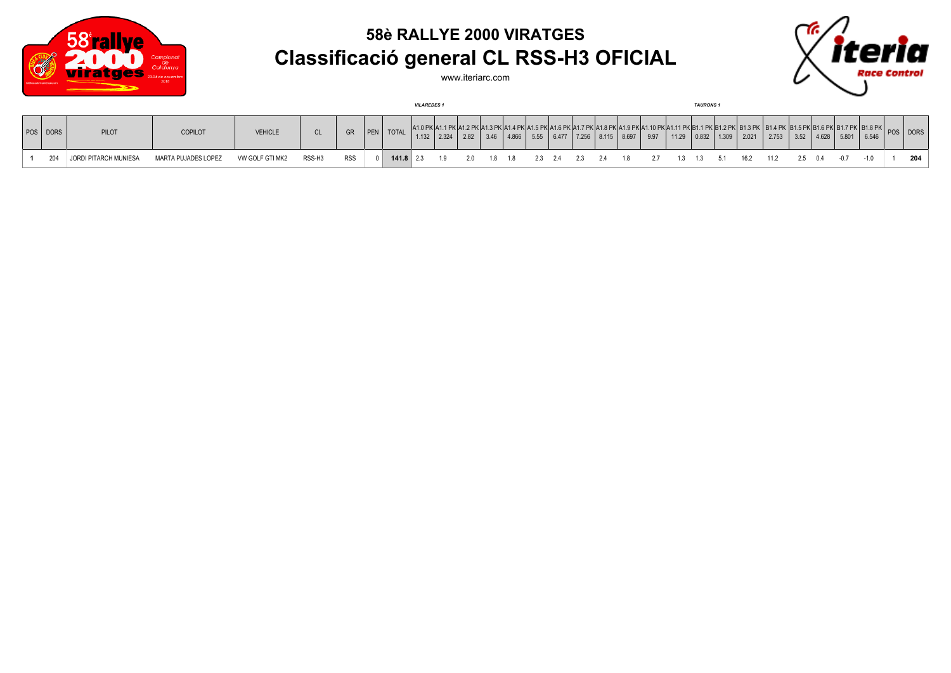

## **58è RALLYE 2000 VIRATGES Classificació general CL RSS-H3 OFICIAL**

www.iteriarc.com



|          |                       |                     |                 |        |            |               |              | <b>VILAREDES1</b> |    |          |  |      |  |                                                                                                |      | <b>TAURONS1</b> |  |                                                       |      |       |               |  |           |
|----------|-----------------------|---------------------|-----------------|--------|------------|---------------|--------------|-------------------|----|----------|--|------|--|------------------------------------------------------------------------------------------------|------|-----------------|--|-------------------------------------------------------|------|-------|---------------|--|-----------|
| POS DORS | PILOT                 | COPILOT             | <b>VEHICLE</b>  | CL.    |            | $\ $ PEN $\ $ | <b>TOTAL</b> | 1.132             |    | 2.82     |  | 5.55 |  | $\begin{array}{ c c c c c c c c c } \hline 6.477 & 7.256 & 8.115 & 8.697 \ \hline \end{array}$ | 9.97 |                 |  | 11.29   0.832   1.309   2.021   2.753                 | 3.52 | 4.628 | $5.801$ 6.546 |  | JS I DORS |
| 204      | JORDI PITARCH MUNIESA | MARTA PUJADES LOPEZ | VW GOLF GTI MK2 | RSS-H3 | <b>RSS</b> |               | $141.8$ 2.3  |                   | 19 | 20 18 18 |  |      |  |                                                                                                |      |                 |  | 2.3 2.4 2.3 2.4 1.8 2.7 1.3 1.3 5.1 16.2 11.2 2.5 0.4 |      |       | $-0.7$        |  | 204       |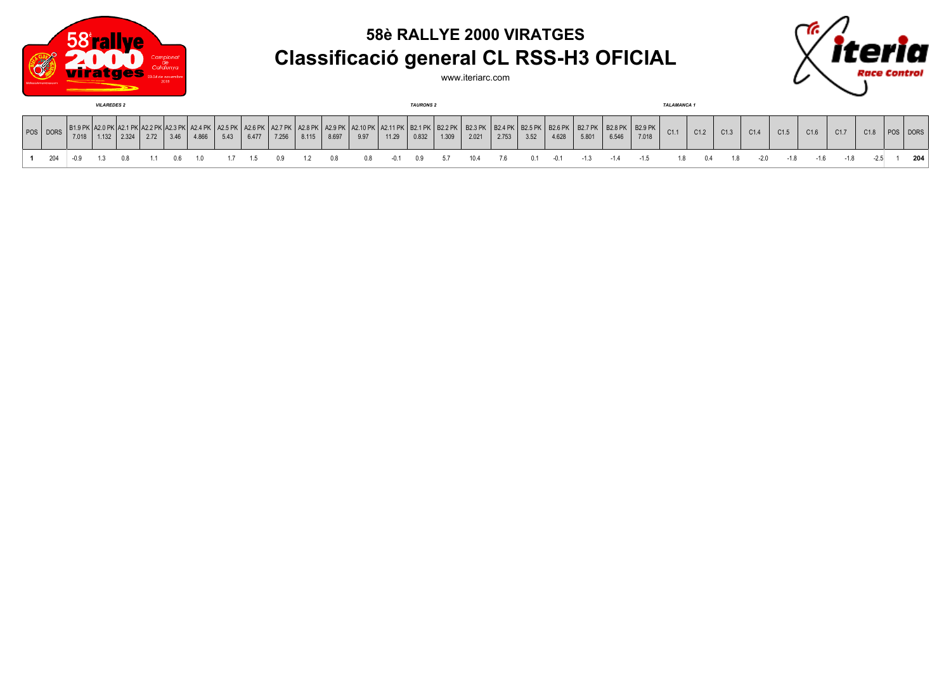

## **58è RALLYE 2000 VIRATGES Classificació general CL RSS-H3 OFICIAL**



www.iteriarc.com

| <b>VILAREDES 2</b> |          |       |       |       |      |  |       |      |       | <b>TAURONS 2</b> |       |       |                                           |       |       |                                  |                         |       |                        | <b>TALAMANCA1</b>       |       |                            |       |      |      |      |      |      |      |      |      |      |
|--------------------|----------|-------|-------|-------|------|--|-------|------|-------|------------------|-------|-------|-------------------------------------------|-------|-------|----------------------------------|-------------------------|-------|------------------------|-------------------------|-------|----------------------------|-------|------|------|------|------|------|------|------|------|------|
|                    | POS DORS | 7.018 | 1.132 | 2.324 | 2.72 |  | 4.866 | 5.43 | 6.477 | 7.256            | 8.115 | 8.697 | (   A2.9 PK   A2.10 PK   A2.11 PK<br>9.97 | 11.29 | 0.832 | <   B2.1 PK   B2.2 PK  <br>1.309 | <b>B2.3 PK</b><br>2.021 | 2.753 | <b>B2.5 PK</b><br>3.52 | <b>B2.6 PK</b><br>4.628 | 5.801 | B2.8 PK   B2.9 PK<br>6.546 | 7.018 | C1.1 | C1.2 | C1.3 | C1.4 | C1.5 | C1.6 | C1.7 | C1.8 | DORS |
|                    |          |       |       |       |      |  |       |      |       |                  |       |       |                                           |       |       |                                  |                         | 76.   |                        |                         |       |                            |       |      |      |      |      |      |      |      |      | 204  |